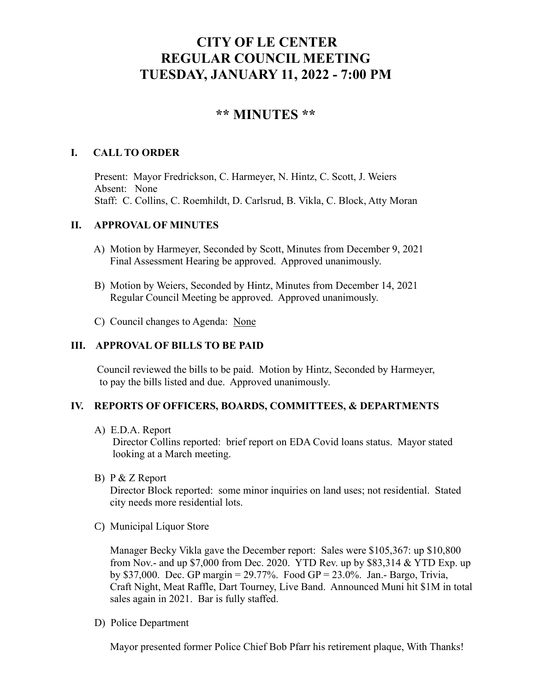# **CITY OF LE CENTER REGULAR COUNCIL MEETING TUESDAY, JANUARY 11, 2022 - 7:00 PM**

# **\*\* MINUTES \*\***

# **I. CALL TO ORDER**

Present: Mayor Fredrickson, C. Harmeyer, N. Hintz, C. Scott, J. Weiers Absent: None Staff: C. Collins, C. Roemhildt, D. Carlsrud, B. Vikla, C. Block, Atty Moran

## **II. APPROVAL OF MINUTES**

- A) Motion by Harmeyer, Seconded by Scott, Minutes from December 9, 2021 Final Assessment Hearing be approved. Approved unanimously.
- B) Motion by Weiers, Seconded by Hintz, Minutes from December 14, 2021 Regular Council Meeting be approved. Approved unanimously.
- C) Council changes to Agenda: None

# **III. APPROVAL OF BILLS TO BE PAID**

Council reviewed the bills to be paid. Motion by Hintz, Seconded by Harmeyer, to pay the bills listed and due. Approved unanimously.

## **IV. REPORTS OF OFFICERS, BOARDS, COMMITTEES, & DEPARTMENTS**

A) E.D.A. Report

 Director Collins reported: brief report on EDA Covid loans status. Mayor stated looking at a March meeting.

B) P & Z Report

 Director Block reported: some minor inquiries on land uses; not residential. Stated city needs more residential lots.

C) Municipal Liquor Store

Manager Becky Vikla gave the December report: Sales were \$105,367: up \$10,800 from Nov.- and up \$7,000 from Dec. 2020. YTD Rev. up by \$83,314 & YTD Exp. up by \$37,000. Dec. GP margin = 29.77%. Food GP = 23.0%. Jan.- Bargo, Trivia, Craft Night, Meat Raffle, Dart Tourney, Live Band. Announced Muni hit \$1M in total sales again in 2021. Bar is fully staffed.

D) Police Department

Mayor presented former Police Chief Bob Pfarr his retirement plaque, With Thanks!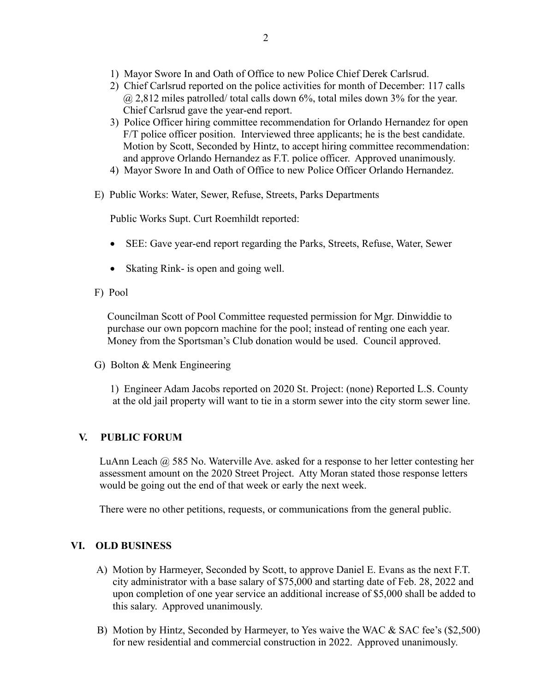- 1) Mayor Swore In and Oath of Office to new Police Chief Derek Carlsrud.
- 2) Chief Carlsrud reported on the police activities for month of December: 117 calls @ 2,812 miles patrolled/ total calls down 6%, total miles down 3% for the year. Chief Carlsrud gave the year-end report.
- 3) Police Officer hiring committee recommendation for Orlando Hernandez for open F/T police officer position. Interviewed three applicants; he is the best candidate. Motion by Scott, Seconded by Hintz, to accept hiring committee recommendation: and approve Orlando Hernandez as F.T. police officer. Approved unanimously.
- 4) Mayor Swore In and Oath of Office to new Police Officer Orlando Hernandez.
- E) Public Works: Water, Sewer, Refuse, Streets, Parks Departments

Public Works Supt. Curt Roemhildt reported:

- SEE: Gave year-end report regarding the Parks, Streets, Refuse, Water, Sewer
- Skating Rink- is open and going well.
- F) Pool

 Councilman Scott of Pool Committee requested permission for Mgr. Dinwiddie to purchase our own popcorn machine for the pool; instead of renting one each year. Money from the Sportsman's Club donation would be used. Council approved.

G) Bolton & Menk Engineering

 1) Engineer Adam Jacobs reported on 2020 St. Project: (none) Reported L.S. County at the old jail property will want to tie in a storm sewer into the city storm sewer line.

# **V. PUBLIC FORUM**

 LuAnn Leach @ 585 No. Waterville Ave. asked for a response to her letter contesting her assessment amount on the 2020 Street Project. Atty Moran stated those response letters would be going out the end of that week or early the next week.

There were no other petitions, requests, or communications from the general public.

# **VI. OLD BUSINESS**

- A) Motion by Harmeyer, Seconded by Scott, to approve Daniel E. Evans as the next F.T. city administrator with a base salary of \$75,000 and starting date of Feb. 28, 2022 and upon completion of one year service an additional increase of \$5,000 shall be added to this salary. Approved unanimously.
- B) Motion by Hintz, Seconded by Harmeyer, to Yes waive the WAC & SAC fee's (\$2,500) for new residential and commercial construction in 2022. Approved unanimously.